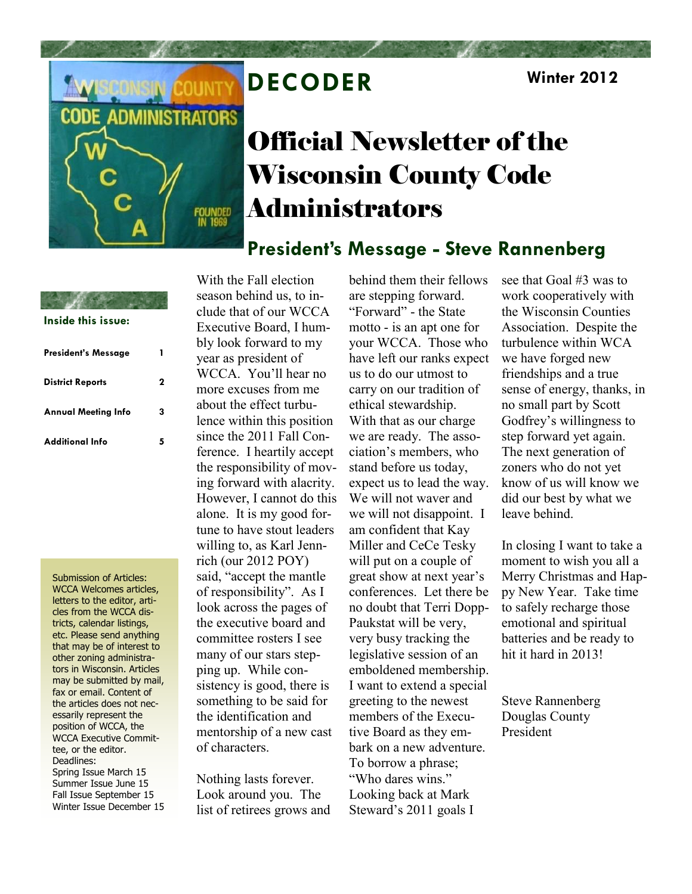

## **DECODER Winter 2012**

# Official Newsletter of the Wisconsin County Code Administrators

### **President's Message - Steve Rannenberg**

| Inside this issue:         |   |
|----------------------------|---|
| President's Message        | 1 |
| <b>District Reports</b>    | 2 |
| <b>Annual Meeting Info</b> | 3 |
| <b>Additional Info</b>     | 5 |

Submission of Articles: WCCA Welcomes articles, letters to the editor, articles from the WCCA districts, calendar listings, etc. Please send anything that may be of interest to other zoning administrators in Wisconsin. Articles may be submitted by mail, fax or email. Content of the articles does not necessarily represent the position of WCCA, the WCCA Executive Committee, or the editor. Deadlines: Spring Issue March 15 Summer Issue June 15 Fall Issue September 15 Winter Issue December 15 With the Fall election season behind us, to include that of our WCCA Executive Board, I humbly look forward to my year as president of WCCA. You'll hear no more excuses from me about the effect turbulence within this position since the 2011 Fall Conference. I heartily accept the responsibility of moving forward with alacrity. However, I cannot do this alone. It is my good fortune to have stout leaders willing to, as Karl Jennrich (our 2012 POY) said, "accept the mantle of responsibility". As I look across the pages of the executive board and committee rosters I see many of our stars stepping up. While consistency is good, there is something to be said for the identification and mentorship of a new cast of characters.

Nothing lasts forever. Look around you. The list of retirees grows and

behind them their fellows are stepping forward. "Forward" - the State motto - is an apt one for your WCCA. Those who have left our ranks expect us to do our utmost to carry on our tradition of ethical stewardship. With that as our charge we are ready. The association's members, who stand before us today, expect us to lead the way. We will not waver and we will not disappoint. I am confident that Kay Miller and CeCe Tesky will put on a couple of great show at next year's conferences. Let there be no doubt that Terri Dopp-Paukstat will be very, very busy tracking the legislative session of an emboldened membership. I want to extend a special greeting to the newest members of the Executive Board as they embark on a new adventure. To borrow a phrase; "Who dares wins." Looking back at Mark Steward's 2011 goals I

see that Goal #3 was to work cooperatively with the Wisconsin Counties Association. Despite the turbulence within WCA we have forged new friendships and a true sense of energy, thanks, in no small part by Scott Godfrey's willingness to step forward yet again. The next generation of zoners who do not yet know of us will know we did our best by what we leave behind.

In closing I want to take a moment to wish you all a Merry Christmas and Happy New Year. Take time to safely recharge those emotional and spiritual batteries and be ready to hit it hard in 2013!

Steve Rannenberg Douglas County President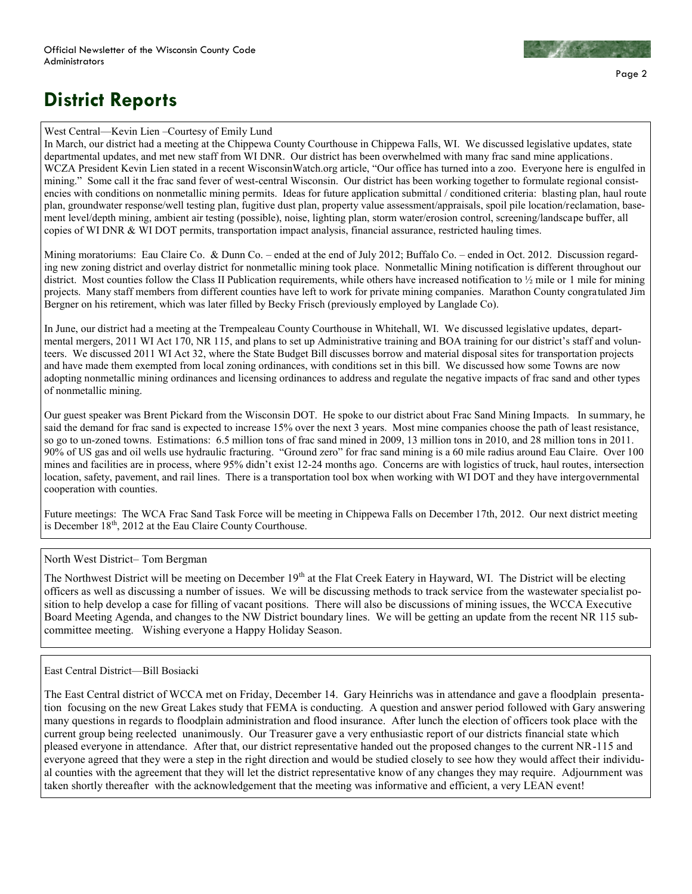

## **District Reports**

### West Central—Kevin Lien –Courtesy of Emily Lund

In March, our district had a meeting at the Chippewa County Courthouse in Chippewa Falls, WI. We discussed legislative updates, state departmental updates, and met new staff from WI DNR. Our district has been overwhelmed with many frac sand mine applications. WCZA President Kevin Lien stated in a recent WisconsinWatch.org article, "Our office has turned into a zoo. Everyone here is engulfed in mining." Some call it the frac sand fever of west-central Wisconsin. Our district has been working together to formulate regional consistencies with conditions on nonmetallic mining permits. Ideas for future application submittal / conditioned criteria: blasting plan, haul route plan, groundwater response/well testing plan, fugitive dust plan, property value assessment/appraisals, spoil pile location/reclamation, basement level/depth mining, ambient air testing (possible), noise, lighting plan, storm water/erosion control, screening/landscape buffer, all copies of WI DNR & WI DOT permits, transportation impact analysis, financial assurance, restricted hauling times.

Mining moratoriums: Eau Claire Co. & Dunn Co. – ended at the end of July 2012; Buffalo Co. – ended in Oct. 2012. Discussion regarding new zoning district and overlay district for nonmetallic mining took place. Nonmetallic Mining notification is different throughout our district. Most counties follow the Class II Publication requirements, while others have increased notification to  $\frac{1}{2}$  mile or 1 mile for mining projects. Many staff members from different counties have left to work for private mining companies. Marathon County congratulated Jim Bergner on his retirement, which was later filled by Becky Frisch (previously employed by Langlade Co).

In June, our district had a meeting at the Trempealeau County Courthouse in Whitehall, WI. We discussed legislative updates, departmental mergers, 2011 WI Act 170, NR 115, and plans to set up Administrative training and BOA training for our district's staff and volunteers. We discussed 2011 WI Act 32, where the State Budget Bill discusses borrow and material disposal sites for transportation projects and have made them exempted from local zoning ordinances, with conditions set in this bill. We discussed how some Towns are now adopting nonmetallic mining ordinances and licensing ordinances to address and regulate the negative impacts of frac sand and other types of nonmetallic mining.

Our guest speaker was Brent Pickard from the Wisconsin DOT. He spoke to our district about Frac Sand Mining Impacts. In summary, he said the demand for frac sand is expected to increase 15% over the next 3 years. Most mine companies choose the path of least resistance, so go to un-zoned towns. Estimations: 6.5 million tons of frac sand mined in 2009, 13 million tons in 2010, and 28 million tons in 2011. 90% of US gas and oil wells use hydraulic fracturing. "Ground zero" for frac sand mining is a 60 mile radius around Eau Claire. Over 100 mines and facilities are in process, where 95% didn't exist 12-24 months ago. Concerns are with logistics of truck, haul routes, intersection location, safety, pavement, and rail lines. There is a transportation tool box when working with WI DOT and they have intergovernmental cooperation with counties.

Future meetings: The WCA Frac Sand Task Force will be meeting in Chippewa Falls on December 17th, 2012. Our next district meeting is December  $18<sup>th</sup>$ , 2012 at the Eau Claire County Courthouse.

### North West District– Tom Bergman

The Northwest District will be meeting on December 19<sup>th</sup> at the Flat Creek Eatery in Hayward, WI. The District will be electing officers as well as discussing a number of issues. We will be discussing methods to track service from the wastewater specialist position to help develop a case for filling of vacant positions. There will also be discussions of mining issues, the WCCA Executive Board Meeting Agenda, and changes to the NW District boundary lines. We will be getting an update from the recent NR 115 subcommittee meeting. Wishing everyone a Happy Holiday Season.

### East Central District—Bill Bosiacki

The East Central district of WCCA met on Friday, December 14. Gary Heinrichs was in attendance and gave a floodplain presentation focusing on the new Great Lakes study that FEMA is conducting. A question and answer period followed with Gary answering many questions in regards to floodplain administration and flood insurance. After lunch the election of officers took place with the current group being reelected unanimously. Our Treasurer gave a very enthusiastic report of our districts financial state which pleased everyone in attendance. After that, our district representative handed out the proposed changes to the current NR-115 and everyone agreed that they were a step in the right direction and would be studied closely to see how they would affect their individual counties with the agreement that they will let the district representative know of any changes they may require. Adjournment was taken shortly thereafter with the acknowledgement that the meeting was informative and efficient, a very LEAN event!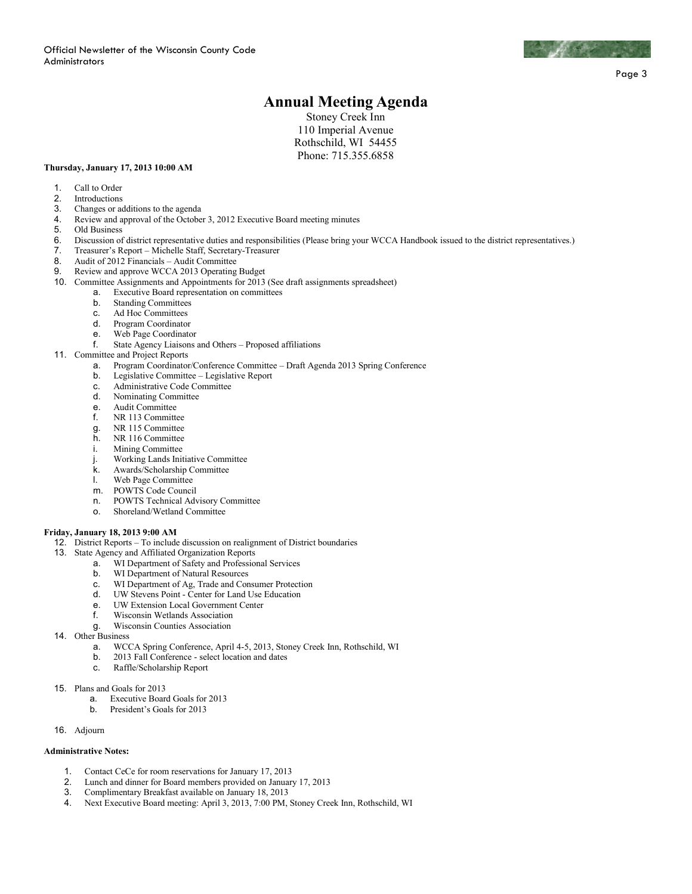

Page 3

### **Annual Meeting Agenda**

Stoney Creek Inn 110 Imperial Avenue Rothschild, WI 54455 Phone: 715.355.6858

#### **Thursday, January 17, 2013 10:00 AM**

- 1. Call to Order
- 
- 2. Introductions<br>3. Changes or a 3. Changes or additions to the agenda
- 4. Review and approval of the October 3, 2012 Executive Board meeting minutes
- 5. Old Business<br>6. Discussion of
- 6. Discussion of district representative duties and responsibilities (Please bring your WCCA Handbook issued to the district representatives.)
- 7. Treasurer's Report Michelle Staff, Secretary-Treasurer
- 8. Audit of 2012 Financials Audit Committee<br>9. Review and approve WCCA 2013 Operating
- Review and approve WCCA 2013 Operating Budget
- 10. Committee Assignments and Appointments for 2013 (See draft assignments spreadsheet)
	- a. Executive Board representation on committees
	- Standing Committees
	- c. Ad Hoc Committees
	- d. Program Coordinator
	- Web Page Coordinator
	- f. State Agency Liaisons and Others Proposed affiliations
- 11. Committee and Project Reports
	- a. Program Coordinator/Conference Committee Draft Agenda 2013 Spring Conference
	- b. Legislative Committee Legislative Report
	- c. Administrative Code Committee
	- d. Nominating Committee
	- e. Audit Committee
	- f. NR 113 Committee
	- g. NR 115 Committee
	- h. NR 116 Committee
	- i. Mining Committee
	- j. Working Lands Initiative Committee<br> **Awards/Scholarship Committee**
	- Awards/Scholarship Committee
	- l. Web Page Committee
	-
	- m. POWTS Code Council<br>n. POWTS Technical Adv POWTS Technical Advisory Committee
	- o. Shoreland/Wetland Committee

#### **Friday, January 18, 2013 9:00 AM**

- 12. District Reports To include discussion on realignment of District boundaries
- 13. State Agency and Affiliated Organization Reports
	- a. WI Department of Safety and Professional Services
	- b. WI Department of Natural Resources
	- c. WI Department of Ag, Trade and Consumer Protection
	- d. UW Stevens Point Center for Land Use Education
	- e. UW Extension Local Government Center
	- f. Wisconsin Wetlands Association
	- g. Wisconsin Counties Association
- 14. Other Business
	- a. WCCA Spring Conference, April 4-5, 2013, Stoney Creek Inn, Rothschild, WI
	- b. 2013 Fall Conference select location and dates
	- c. Raffle/Scholarship Report
- 15. Plans and Goals for 2013
	- a. Executive Board Goals for 2013
	- b. President's Goals for 2013
- 16. Adjourn

#### **Administrative Notes:**

- 1. Contact CeCe for room reservations for January 17, 2013<br>2. Lunch and dinner for Board members provided on January
- 2. Lunch and dinner for Board members provided on January 17, 2013
- 3. Complimentary Breakfast available on January 18, 2013
- 4. Next Executive Board meeting: April 3, 2013, 7:00 PM, Stoney Creek Inn, Rothschild, WI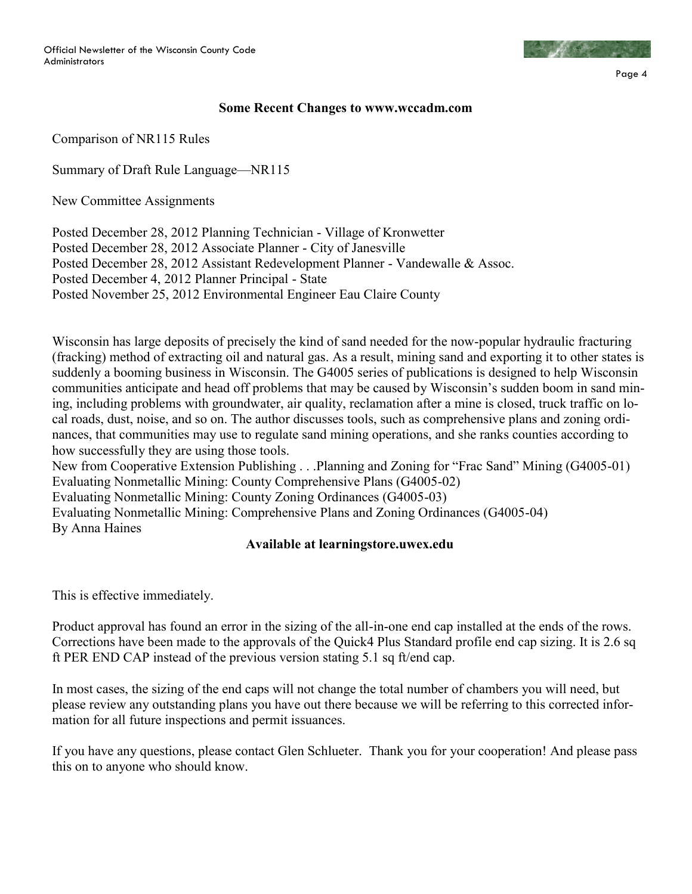

Page 4

### **Some Recent Changes to www.wccadm.com**

Comparison of NR115 Rules

Summary of Draft Rule Language—NR115

New Committee Assignments

Posted December 28, 2012 Planning Technician - Village of Kronwetter Posted December 28, 2012 Associate Planner - City of Janesville Posted December 28, 2012 Assistant Redevelopment Planner - Vandewalle & Assoc. Posted December 4, 2012 Planner Principal - State Posted November 25, 2012 Environmental Engineer Eau Claire County

Wisconsin has large deposits of precisely the kind of sand needed for the now-popular hydraulic fracturing (fracking) method of extracting oil and natural gas. As a result, mining sand and exporting it to other states is suddenly a booming business in Wisconsin. The G4005 series of publications is designed to help Wisconsin communities anticipate and head off problems that may be caused by Wisconsin's sudden boom in sand mining, including problems with groundwater, air quality, reclamation after a mine is closed, truck traffic on local roads, dust, noise, and so on. The author discusses tools, such as comprehensive plans and zoning ordinances, that communities may use to regulate sand mining operations, and she ranks counties according to how successfully they are using those tools.

New from Cooperative Extension Publishing . . .Planning and Zoning for "Frac Sand" Mining (G4005-01) Evaluating Nonmetallic Mining: County Comprehensive Plans (G4005-02) Evaluating Nonmetallic Mining: County Zoning Ordinances (G4005-03) Evaluating Nonmetallic Mining: Comprehensive Plans and Zoning Ordinances (G4005-04) By Anna Haines

### **Available at learningstore.uwex.edu**

This is effective immediately.

Product approval has found an error in the sizing of the all-in-one end cap installed at the ends of the rows. Corrections have been made to the approvals of the Quick4 Plus Standard profile end cap sizing. It is 2.6 sq ft PER END CAP instead of the previous version stating 5.1 sq ft/end cap.

In most cases, the sizing of the end caps will not change the total number of chambers you will need, but please review any outstanding plans you have out there because we will be referring to this corrected information for all future inspections and permit issuances.

If you have any questions, please contact Glen Schlueter. Thank you for your cooperation! And please pass this on to anyone who should know.